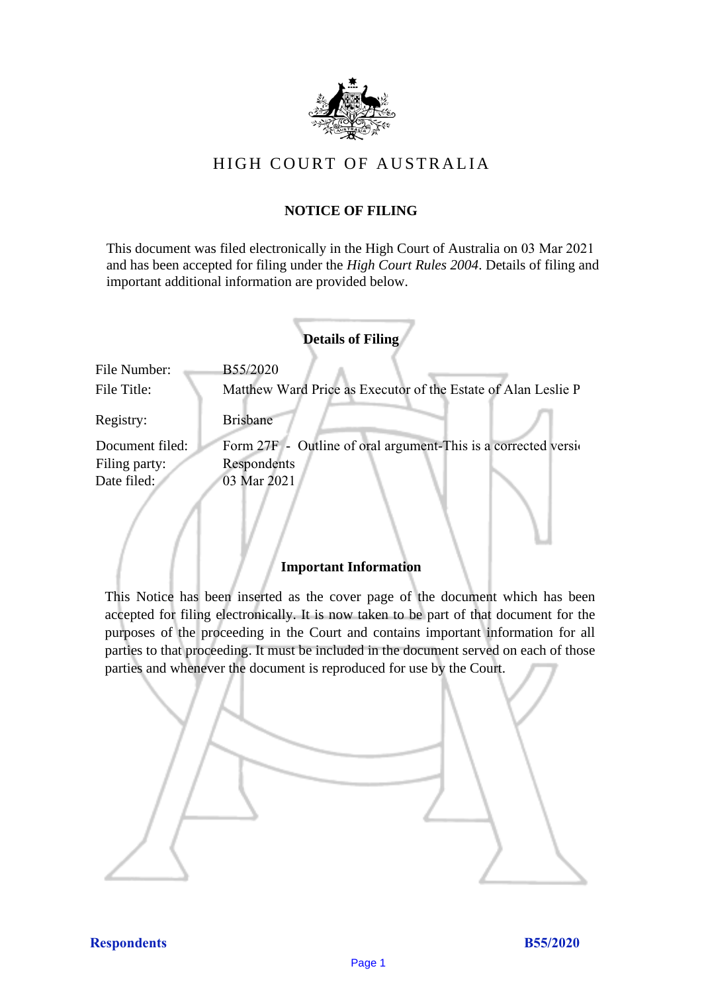

# HIGH COURT OF AU STRALIA HIGH COURT OF AUSTRALIA

# **NOTICE OF FILING** NOTICE OF FILING

This document was filed electronically in the High Court of Australia on 03 Mar 2021 and has been accepted for filing under the *High Court Rules 2004*. Details of filing and important additional information are provided below. important additional information are provided below.

|                 | <b>Details of Filing</b>                                        |
|-----------------|-----------------------------------------------------------------|
| File Number:    | <b>B55/2020</b>                                                 |
| File Title:     | Matthew Ward Price as Executor of the Estate of Alan Leslie P   |
| Registry:       | <b>Brisbane</b>                                                 |
| Document filed: | Form 27F - Outline of oral argument-This is a corrected version |
| Filing party:   | Respondents                                                     |
| Date filed:     | 03 Mar 2021                                                     |
|                 |                                                                 |

# **Important Information** Important Information

This Notice has been inserted as the cover page of the document which has been accepted for filing electronically. It is now taken to be part of that document for the purposes of the proceeding in the Court and contains important information for all parties to that proceeding. It must be included in the document served on each of those parties and whenever the document is reproduced for use by the Court. parties and whenever the document is reproduced for use by the Court

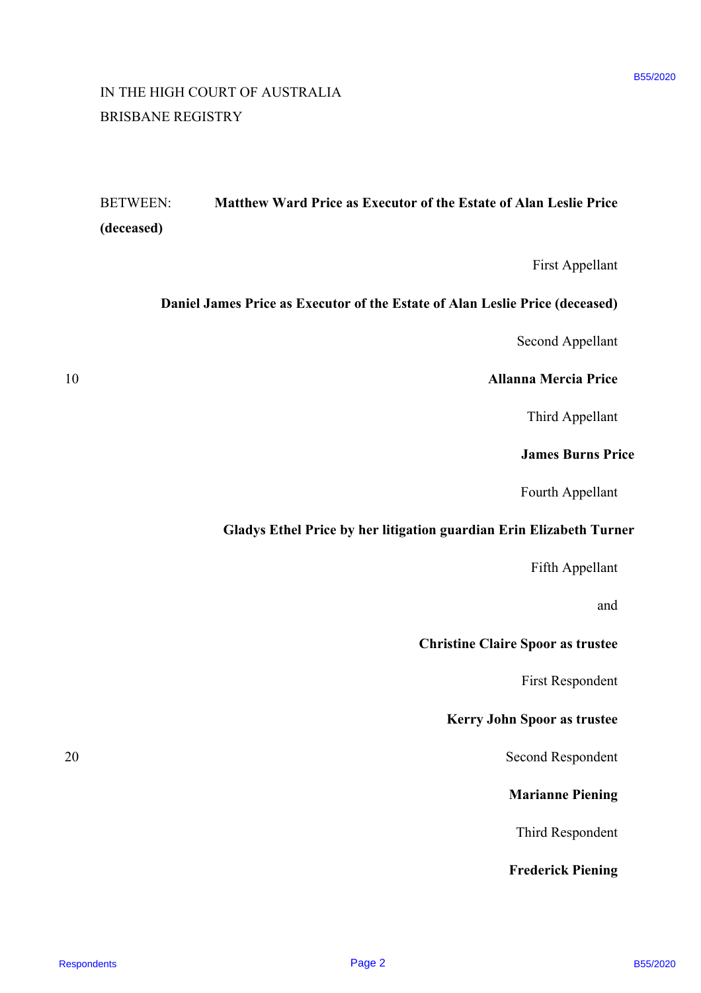# IN THE HIGH COURT OF AUSTRALIA IN THE HIGH COURT OF AUSTRALIA BRISBANE REGISTRY BRISBANE REGISTRY

# BETWEEN: **Matthew Ward Price as Executor of the Estate of Alan Leslie Price** BETWEEN: Matthew Ward Price as Executor of the Estate of Alan Leslie Price **(deceased)** (deceased) RESPONSIVE CONSIDERATES<br>
RESPONSIVE PRESPONDENT MANUFACT SECTION OF THE SECTION OF THE SECTION OF THE SECTION OF THE SECTION OF THE SECTION OF THE SECTION OF THE SECTION OF THE SECTION OF THE SECTION OF THE SECTION OF THE

First Appellant First Appellant

# **Daniel James Price as Executor of the Estate of Alan Leslie Price (deceased)** Daniel James Price as Executor of the Estate of Alan Leslie Price (deceased)

Second Appellant Second Appellant

#### 10 **Allanna Mercia Price** 10 Allanna Mercia Price

Third Appellant Third Appellant

#### **James Burns Price** James Burns Price

Fourth Appellant Fourth Appellant

# **Gladys Ethel Price by her litigation guardian Erin Elizabeth Turner** Gladys Ethel Price by her litigation guardian Erin Elizabeth Turner

Fifth Appellant Fifth Appellant

and and

# **Christine Claire Spoor as trustee** Christine Claire Spoor as trustee

First Respondent First Respondent

# **Kerry John Spoor as trustee** Kerry John Spoor as trustee

20 Second Respondent 20 Second Respondent

# **Marianne Piening** Marianne Piening

Third Respondent Third Respondent

# **Frederick Piening** Frederick Piening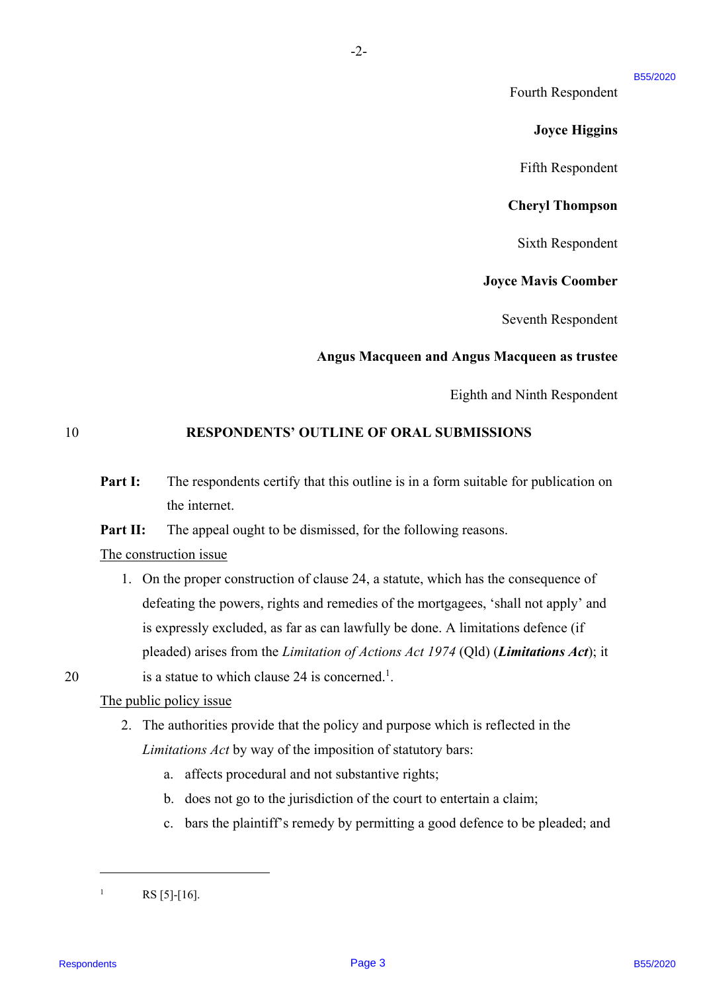#### B55/2020

Fourth Respondent Fourth Respondent

#### **Joyce Higgins** Joyce Higgins

Fifth Respondent Fifth Respondent

#### **Cheryl Thompson** Cheryl Thompson

Sixth Respondent Sixth Respondent

#### **Joyce Mavis Coomber** Joyce Mavis Coomber

Seventh Respondent Seventh Respondent

#### **Angus Macqueen and Angus Macqueen as trustee** Angus Macqueen and Angus Macqueen as trustee

Eighth and Ninth Respondent Eighth and Ninth Respondent

#### 10 **RESPONDENTS' OUTLINE OF ORAL SUBMISSIONS** 10 RESPONDENTS' OUTLINE OF ORAL SUBMISSIONS

**Part I:** The respondents certify that this outline is in a form suitable for publication on the internet. the internet.

-2-

Part II: The appeal ought to be dismissed, for the following reasons.

#### The construction issue The construction issue

1. On the proper construction of clause 24, a statute, which has the consequence of 1. On the proper construction of clause 24, <sup>a</sup> statute, which has the consequence of defeating the powers, rights and remedies of the mortgagees, 'shall not apply' and defeating the powers, rights and remedies of the mortgagees, 'shall not apply' and is expressly excluded, as far as can lawfully be done. A limitations defence (if is expressly excluded, as far as can lawfully be done. A limitations defence (if pleaded) arises from the *Limitation of Actions Act 1974* (Qld) (*Limitations Act*); it 20 is a statue to which clause 24 is concerned.<sup>1</sup>. Fourth Respondent<br>
Fourth Respondent<br> **Earth Respondent**<br> **Earth Respondent**<br> **Earth Respondent**<br> **Chery 1 Humpeann**<br> **Sixth Respondent Box**<br> **Chery 1 Humpeann**<br> **Sixth Respondent**<br> **Angus Macquecen and Angus Macquecen as** 

#### The public policy issue The public policy issue

- 2. The authorities provide that the policy and purpose which is reflected in the 2. The authorities provide that the policy and purpose which is reflected in the *Limitations Act* by way of the imposition of statutory bars: Limitations Act by way of the imposition of statutory bars:
	- a. affects procedural and not substantive rights;
	- b. does not go to the jurisdiction of the court to entertain a claim; b. does not go to the jurisdiction of the court to entertain <sup>a</sup> claim;
	- c. bars the plaintiff's remedy by permitting a good defence to be pleaded; and c. bars the plaintiff's remedy by permitting a good defence to be pleaded; and

<sup>1</sup> <sup>1</sup> RS [5]-[16].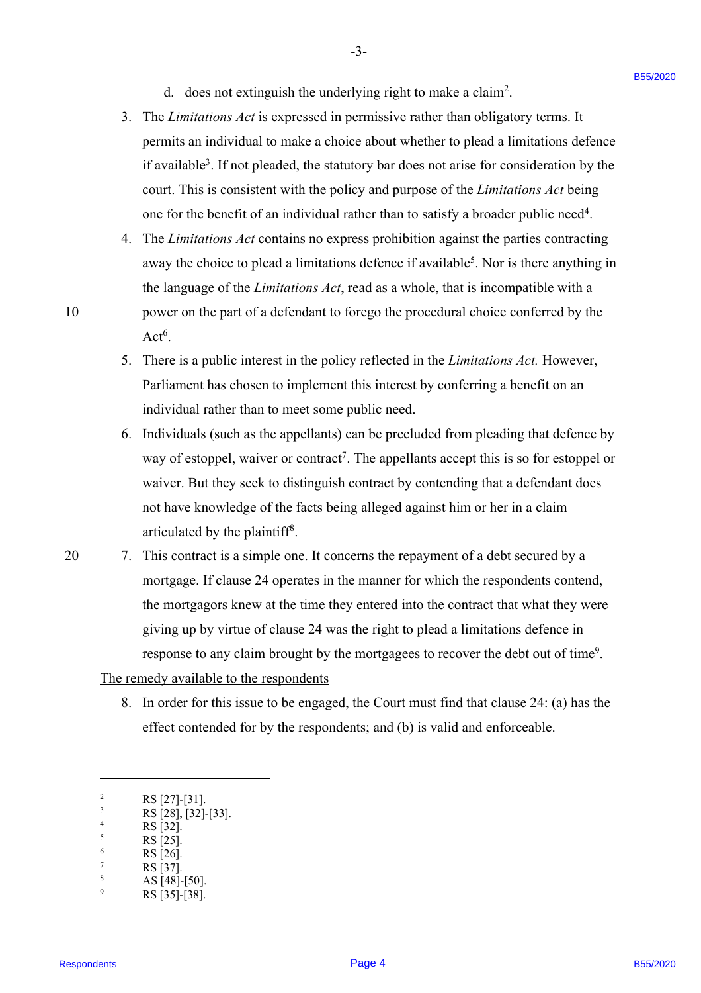d. does not extinguish the underlying right to make a claim2 . d. does not extinguish the underlying right to make <sup>a</sup> claim'.

-3- -3-

- 3. The *Limitations Act* is expressed in permissive rather than obligatory terms. It The Limitations Act is expressed in permissive rather than obligatory terms. It permits an individual to make a choice about whether to plead a limitations defence permits an individual to make a choice about whether to plead a limitations defence if available<sup>3</sup>. If not pleaded, the statutory bar does not arise for consideration by the court. This is consistent with the policy and purpose of the *Limitations Act* being court. This is consistent with the policy and purpose of the Limitations Act being one for the benefit of an individual rather than to satisfy a broader public need<sup>4</sup>.
- 4. The *Limitations Act* contains no express prohibition against the parties contracting The Limitations Act contains no express prohibition against the parties contracting away the choice to plead a limitations defence if available<sup>5</sup>. Nor is there anything in the language of the *Limitations Act*, read as a whole, that is incompatible with a the language of the Limitations Act, read as <sup>a</sup> whole, that is incompatible with <sup>a</sup> 10 power on the part of a defendant to forego the procedural choice conferred by the power on the part of <sup>a</sup> defendant to forego the procedural choice conferred by the  $Act<sup>6</sup>$ .
	- 5. There is a public interest in the policy reflected in the *Limitations Act.* However, There is <sup>a</sup> public interest in the policy reflected in the Limitations Act. However, Parliament has chosen to implement this interest by conferring a benefit on an Parliament has chosen to implement this interest by conferring <sup>a</sup> benefit on an individual rather than to meet some public need. individual rather than to meet some public need.
	- 6. Individuals (such as the appellants) can be precluded from pleading that defence by Individuals (such as the appellants) can be precluded from pleading that defence by way of estoppel, waiver or contract<sup>7</sup>. The appellants accept this is so for estoppel or waiver. But they seek to distinguish contract by contending that a defendant does waiver. But they seek to distinguish contract by contending that <sup>a</sup> defendant does not have knowledge of the facts being alleged against him or her in a claim not have knowledge of the facts being alleged against him or her in a claim articulated by the plaintiff8 . articulated by the plaintiff®.
- 20 7. This contract is a simple one. It concerns the repayment of a debt secured by a mortgage. If clause 24 operates in the manner for which the respondents contend, mortgage. If clause <sup>24</sup> operates in the manner for which the respondents contend, the mortgagors knew at the time they entered into the contract that what they were the mortgagors knew at the time they entered into the contract that what they were giving up by virtue of clause 24 was the right to plead a limitations defence in giving up by virtue of clause 24 was the right to plead <sup>a</sup> limitations defence in response to any claim brought by the mortgagees to recover the debt out of time<sup>9</sup>. d does not extinguish the underlying right to make a claim".<br>
1. The *Euristian Machinist* B5 a graces and performination enther than obligating herms. It<br>
permiss an individual to anise a choice about whether to place a

The remedy available to the respondents The remedy available to the respondents

8. In order for this issue to be engaged, the Court must find that clause 24: (a) has the 8. In order for this issue to be engaged, the Court must find that clause 24: (a) has the effect contended for by the respondents; and (b) is valid and enforceable. effect contended for by the respondents; and (b) is valid and enforceable.

- $R_S$  [28], [32]-[33].
- $\frac{4}{5}$  RS [32].
- $\frac{5}{16}$  RS [25].
- $\frac{6}{7}$  RS [26].
- <sup>7</sup> RS [37].

10

<sup>2</sup> <sup>2</sup> RS [27]-[31].<br><sup>3</sup> RS [28] [32]  $\begin{bmatrix} 2 \\ 3 \\ 4 \\ 5 \\ 6 \\ 7 \end{bmatrix}$ 

<sup>&</sup>lt;sup>8</sup> AS [48]-[50].<br><sup>9</sup> BS [35]-[38] RS [35]-[38]. RS [35]-[38].